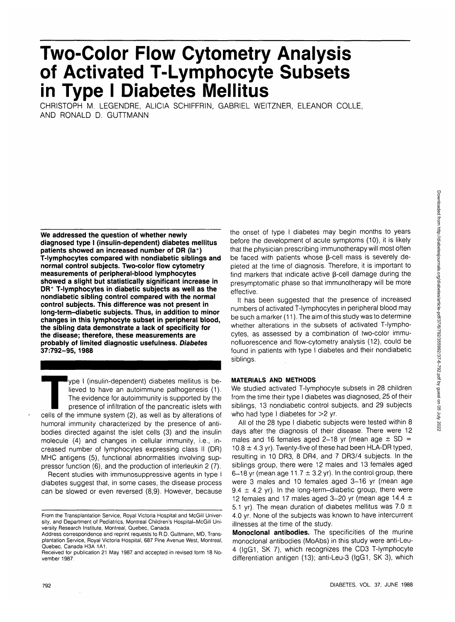# **Two-Color Flow Cytometry Analysis of Activated T-Lymphocyte Subsets in Type I Diabetes Mellitus**

CHRISTOPH M. LEGENDRE, ALICIA SCHIFFRIN, GABRIEL WEITZNER, ELEANOR COLLE, AND RONALD D. GUTTMANN

**We addressed the question of whether newly diagnosed type I (insulin-dependent) diabetes mellitus patients showed an increased number of DR (la<sup>+</sup> ) T-lymphocytes compared with nondiabetic siblings and normal control subjects. Two-color flow cytometry measurements of peripheral-blood lymphocytes showed a slight but statistically significant increase in DR<sup>+</sup> T-lymphocytes in diabetic subjects as well as the nondiabetic sibling control compared with the normal control subjects. This difference was not present in long-term-diabetic subjects. Thus, in addition to minor changes in this lymphocyte subset in peripheral blood, the sibling data demonstrate a lack of specificity for the disease; therefore, these measurements are probably of limited diagnostic usefulness. Diabetes 37:792-95, 1988**

Type I (insulin-dependent) diabetes mellitus is be-<br>lieved to have an autoimmune pathogenesis (1).<br>The evidence for autoimmunity is supported by the<br>presence of infiltration of the pancreatic islets with<br>cells of the immun lieved to have an autoimmune pathogenesis (1). The evidence for autoimmunity is supported by the presence of infiltration of the pancreatic islets with humoral immunity characterized by the presence of antibodies directed against the islet cells (3) and the insulin molecule (4) and changes in cellular immunity, i.e., increased number of lymphocytes expressing class II (DR) MHC antigens (5), functional abnormalities involving suppressor function (6), and the production of interleukin 2 (7).

Recent studies with immunosuppressive agents in type I diabetes suggest that, in some cases, the disease process can be slowed or even reversed (8,9). However, because the onset of type I diabetes may begin months to years before the development of acute symptoms (10), it is likely that the physician prescribing immunotherapy will most often be faced with patients whose B-cell mass is severely depleted at the time of diagnosis. Therefore, it is important to find markers that indicate active  $\beta$ -cell damage during the presymptomatic phase so that immunotherapy will be more effective.

It has been suggested that the presence of increased numbers of activated T-lymphocytes in peripheral blood may be such a marker (11). The aim of this study was to determine whether alterations in the subsets of activated T-lymphocytes, as assessed by a combination of two-color immunofluorescence and flow-cytometry analysis (12), could be found in patients with type I diabetes and their nondiabetic siblings.

## **MATERIALS AND METHODS**

We studied activated T-lymphocyte subsets in 28 children from the time their type I diabetes was diagnosed, 25 of their siblings, 13 nondiabetic control subjects, and 29 subjects who had type I diabetes for  $>2$  yr.

All of the 28 type I diabetic subjects were tested within 8 days after the diagnosis of their disease. There were 12 males and 16 females aged 2-18 yr (mean age  $\pm$  SD =  $10.8 \pm 4.3$  yr). Twenty-five of these had been HLA-DR typed, resulting in 10 DR3, 8 DR4, and 7 DR3/4 subjects. In the siblings group, there were 12 males and 13 females aged 6-18 yr (mean age 11.7  $\pm$  3.2 yr). In the control group, there were 3 males and 10 females aged 3-16 yr (mean age 9.4  $\pm$  4.2 yr). In the long-term-diabetic group, there were 12 females and 17 males aged 3-20 yr (mean age 14.4  $\pm$ 5.1 yr). The mean duration of diabetes mellitus was 7.0  $\pm$ 4.0 yr. None of the subjects was known to have intercurrent illnesses at the time of the study.

**Monoclonal antibodies.** The specificities of the murine monoclonal antibodies (MoAbs) in this study were anti-Leu-4 (lgG1, SK 7), which recognizes the CD3 T-lymphocyte differentiation antigen (13); anti-Leu-3 (lgG1, SK 3), which

From the Transplantation Service, Royal Victoria Hospital and McGill University, and Department of Pediatrics, Montreal Children's Hospital—McGill University Research Institute, Montreal, Quebec, Canada.

Address correspondence and reprint requests to R.D. Guttmann, MD, Transplantation Service, Royal Victoria Hospital, 687 Pine Avenue West, Montreal, Quebec, Canada H3A 1A1.

Received for publication 21 May 1987 and accepted in revised form 18 November 1987.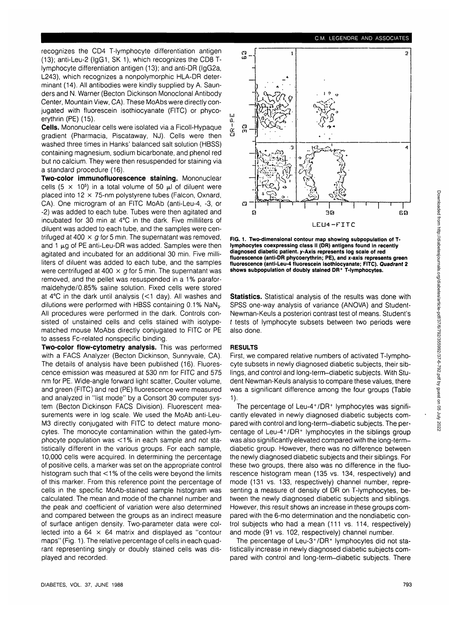Downloaded from http://diabetesjournals.org/diabetes/article-pdf/37/6/792/355992/37-6-792.pdf by guest on 05 July 2022 Downloaded from http://diabetesjournals.org/diabetes/article-pdf/37/6/792/355992/37-6-792.pdf by guest on 05 July 2022

recognizes the CD4 T-lymphocyte differentiation antigen (13); anti-Leu-2 (lgG1, SK 1), which recognizes the CD8 Tlymphocyte differentiation antigen (13); and anti-DR (lgG2a, L243), which recognizes a nonpolymorphic HLA-DR determinant (14). All antibodies were kindly supplied by A. Saunders and N. Warner (Becton Dickinson Monoclonal Antibody Center, Mountain View, CA). These MoAbs were directly conjugated with fluorescein isothiocyanate (FITC) or phycoerythrin (PE) (15).

**Cells.** Mononuclear cells were isolated via a Ficoll-Hypaque gradient (Pharmacia, Piscataway, NJ). Cells were then washed three times in Hanks' balanced salt solution (HBSS) containing magnesium, sodium bicarbonate, and phenol red but no calcium. They were then resuspended for staining via a standard procedure (16).

**Two-color immunofluorescence staining.** Mononuclear cells (5  $\times$  10<sup>5</sup>) in a total volume of 50  $\mu$  of diluent were placed into  $12 \times 75$ -nm polystyrene tubes (Falcon, Oxnard, CA). One microgram of an FITC MoAb (anti-Leu-4, -3, or -2) was added to each tube. Tubes were then agitated and incubated for 30 min at 4°C in the dark. Five milliliters of diluent was added to each tube, and the samples were centrifuged at 400  $\times$  g for 5 min. The supernatant was removed, and 1  $\mu$ g of PE anti-Leu-DR was added. Samples were then agitated and incubated for an additional 30 min. Five milliliters of diluent was added to each tube, and the samples were centrifuged at 400  $\times$  g for 5 min. The supernatant was removed, and the pellet was resuspended in a 1% paraformaldehyde/0.85% saline solution. Fixed cells were stored at 4°C in the dark until analysis (<1 day). All washes and dilutions were performed with HBSS containing 0.1% NaN<sub>3</sub>. All procedures were performed in the dark. Controls consisted of unstained cells and cells stained with isotypematched mouse MoAbs directly conjugated to FITC or PE to assess Fc-related nonspecific binding.

**Two-color flow-cytometry analysis.** This was performed with a FACS Analyzer (Becton Dickinson, Sunnyvale, CA). The details of analysis have been published (16). Fluorescence emission was measured at 530 nm for FITC and 575 nm for PE. Wide-angle forward light scatter, Coulter volume, and green (FITC) and red (PE) fluorescence were measured and analyzed in "list mode" by a Consort 30 computer system (Becton Dickinson FACS Division). Fluorescent measurements were in log scale. We used the MoAb anti-Leu-M3 directly conjugated with FITC to detect mature monocytes. The monocyte contamination within the gated-lymphocyte population was <1 % in each sample and not statistically different in the various groups. For each sample, 10,000 cells were acquired. In determining the percentage of positive cells, a marker was set on the appropriate control histogram such that <1% of the cells were beyond the limits of this marker. From this reference point the percentage of cells in the specific MoAb-stained sample histogram was calculated. The mean and mode of the channel number and the peak and coefficient of variation were also determined and compared between the groups as an indirect measure of surface antigen density. Two-parameter data were collected into a  $64 \times 64$  matrix and displayed as "contour maps" (Fig. 1). The relative percentage of cells in each quadrant representing singly or doubly stained cells was displayed and recorded.



**FIG. 1. Two-dimensional contour map showing subpopulation of Tlymphocytes coexpressing class II (DR) antigens found in recently diagnosed diabetic patient. y-Axis represents log scale of red fluorescence (anti-DR phycoerythrin; PE), and x-axis represents green fluorescence (anti-Leu-4 fluorescein isothiocyanate; FITC). Quadrant 2 shows subpopulation of doubly stained DR<sup>+</sup> T-lymphocytes.**

**Statistics.** Statistical analysis of the results was done with SPSS one-way analysis of variance (ANOVA) and Student-Newman-Keuls a posteriori contrast test of means. Student's t tests of lymphocyte subsets between two periods were also done.

### **RESULTS**

First, we compared relative numbers of activated T-lymphocyte subsets in newly diagnosed diabetic subjects, their siblings, and control and long-term-diabetic subjects. With Student Newman-Keuls analysis to compare these values, there was a significant difference among the four groups (Table 1).

The percentage of Leu-4<sup>+</sup> /DR<sup>+</sup> lymphocytes was significantly elevated in newly diagnosed diabetic subjects compared with control and long-term-diabetic subjects. The percentage of Leu-4<sup>+</sup> /DR<sup>+</sup> lymphocytes in the siblings group was also significantly elevated compared with the long-termdiabetic group. However, there was no difference between the newly diagnosed diabetic subjects and their siblings. For these two groups, there also was no difference in the fluorescence histogram mean (135 vs. 134, respectively) and mode (131 vs. 133, respectively) channel number, representing a measure of density of DR on T-lymphocytes, between the newly diagnosed diabetic subjects and siblings. However, this result shows an increase in these groups compared with the 6-mo determination and the nondiabetic control subjects who had a mean (111 vs. 114, respectively) and mode (91 vs. 102, respectively) channel number.

The percentage of Leu-3+/DR+ lymphocytes did not statistically increase in newly diagnosed diabetic subjects compared with control and long-term-diabetic subjects. There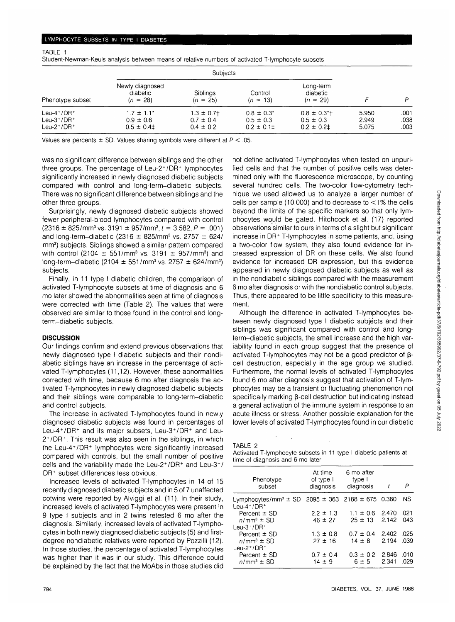TABLE 1

Student-Newman-Keuls analysis between means of relative numbers of activated T-lymphocyte subsets

|                                                                             | <b>Subjects</b>                                  |                                                   |                                                    |                                                                |                         |                      |
|-----------------------------------------------------------------------------|--------------------------------------------------|---------------------------------------------------|----------------------------------------------------|----------------------------------------------------------------|-------------------------|----------------------|
| Phenotype subset                                                            | Newly diagnosed<br>diabetic<br>$(n = 28)$        | Siblings<br>$(n = 25)$                            | Control<br>$(n = 13)$                              | Long-term<br>diabetic<br>$(n = 29)$                            |                         | p                    |
| Leu-4 $+$ /DR $+$<br>Leu- $3^+/DR^+$<br>Leu-2 <sup>+</sup> /DR <sup>+</sup> | $17 \pm 1.1"$<br>$0.9 \pm 0.6$<br>$0.5 \pm 0.41$ | $1.3 \pm 0.7$ †<br>$0.7 \pm 0.4$<br>$0.4 \pm 0.2$ | $0.8 \pm 0.3^*$<br>$0.5 \pm 0.3$<br>$0.2 \pm 0.11$ | $0.8 \pm 0.3$ <sup>*</sup> t<br>$0.5 \pm 0.3$<br>$0.2 \pm 0.2$ | 5.950<br>2.949<br>5.075 | .001<br>.038<br>.003 |

Values are percents  $\pm$  SD. Values sharing symbols were different at  $P < 0.05$ .

was no significant difference between siblings and the other three groups. The percentage of Leu-2<sup>+</sup> /DR<sup>+</sup> lymphocytes significantly increased in newly diagnosed diabetic subjects compared with control and long-term-diabetic subjects. There was no significant difference between siblings and the other three groups.

Surprisingly, newly diagnosed diabetic subjects showed fewer peripheral-blood lymphocytes compared with control  $(2316 \pm 825/\text{mm}^3 \text{ vs. } 3191 \pm 957/\text{mm}^3, t = 3.582, P = .001)$ and long-term-diabetic (2316  $\pm$  825/mm<sup>3</sup> vs. 2757  $\pm$  624/ mm<sup>3</sup>) subjects. Siblings showed a similar pattern compared with control (2104  $\pm$  551/mm<sup>3</sup> vs. 3191  $\pm$  957/mm<sup>3</sup>) and  $long-term$ -diabetic (2104  $\pm$  551/mm<sup>3</sup> vs. 2757  $\pm$  624/mm<sup>3</sup>) subjects.

Finally, in 11 type I diabetic children, the comparison of activated T-lymphocyte subsets at time of diagnosis and 6 mo later showed the abnormalities seen at time of diagnosis were corrected with time (Table 2). The values that were observed are similar to those found in the control and longterm-diabetic subjects.

## **DISCUSSION**

Our findings confirm and extend previous observations that newly diagnosed type I diabetic subjects and their nondiabetic siblings have an increase in the percentage of activated T-lymphocytes (11,12). However, these abnormalities corrected with time, because 6 mo after diagnosis the activated T-lymphocytes in newly diagnosed diabetic subjects and their siblings were comparable to long-term-diabetic and control subjects.

The increase in activated T-lymphocytes found in newly diagnosed diabetic subjects was found in percentages of Leu-4<sup>+</sup>/DR<sup>+</sup> and its major subsets, Leu-3<sup>+</sup>/DR<sup>+</sup> and Leu-2+ /DR<sup>+</sup> . This result was also seen in the siblings, in which the Leu-4<sup>+</sup> /DR<sup>+</sup> lymphocytes were significantly increased compared with controls, but the small number of positive cells and the variability made the Leu-2+/DR+ and Leu-3+/ DR+ subset differences less obvious.

Increased levels of activated T-lymphocytes in 14 of 15 recently diagnosed diabetic subjects and in 5 of 7 unaffected cotwins were reported by Alviggi et al. (11). In their study, increased levels of activated T-lymphocytes were present in 9 type I subjects and in 2 twins retested 6 mo after the diagnosis. Similarly, increased levels of activated T-lymphocytes in both newly diagnosed diabetic subjects (5) and firstdegree nondiabetic relatives were reported by Pozzilli (12). In those studies, the percentage of activated T-lymphocytes was higher than it was in our study. This difference could be explained by the fact that the MoAbs in those studies did not define activated T-lymphocytes when tested on unpurified cells and that the number of positive cells was determined only with the fluorescence microscope, by counting several hundred cells. The two-color flow-cytometry technique we used allowed us to analyze a larger number of cells per sample (10,000) and to decrease to  $\leq$ 1% the cells beyond the limits of the specific markers so that only lymphocytes would be gated. Hitchcock et al. (17) reported observations similar to ours in terms of a slight but significant increase in DR+ T-lymphocytes in some patients, and, using a two-color flow system, they also found evidence for increased expression of DR on these cells. We also found evidence for increased DR expression, but this evidence appeared in newly diagnosed diabetic subjects as well as in the nondiabetic siblings compared with the measurement 6 mo after diagnosis or with the nondiabetic control subjects. Thus, there appeared to be little specificity to this measurement.

Although the difference in activated T-lymphocytes between newly diagnosed type I diabetic subjects and their siblings was significant compared with control and longterm-diabetic subjects, the small increase and the high variability found in each group suggest that the presence of activated T-lymphocytes may not be a good predictor of  $\beta$ cell destruction, especially in the age group we studied. Furthermore, the normal levels of activated T-lymphocytes found 6 mo after diagnosis suggest that activation of T-lymphocytes may be a transient or fluctuating phenomenon not specifically marking  $\beta$ -cell destruction but indicating instead a general activation of the immune system in response to an acute illness or stress. Another possible explanation for the lower levels of activated T-lymphocytes found in our diabetic

#### TABLE 2

Activated T-lymphocyte subsets in 11 type I diabetic patients at time of diagnosis and 6 mo later

| Phenotype<br>subset                                                                           | At time<br>of type I<br>diagnosis | 6 mo after<br>type I<br>diagnosis            | t                   | P            |
|-----------------------------------------------------------------------------------------------|-----------------------------------|----------------------------------------------|---------------------|--------------|
| Lymphocytes/mm <sup>3</sup> $\pm$ SD 2095 $\pm$ 363 2188 $\pm$ 675 0.380<br>Leu-4+/DR+        |                                   |                                              |                     | ΝS           |
| Percent $\pm$ SD<br>$n/mm^3 \pm SD$                                                           | $2.2 \pm 1.3$<br>$46 \pm 27$      | $1.1 \pm 0.6$ 2.470<br>$25 \pm 13$ 2.142 043 |                     | .021         |
| Leu- $3^+/DR^+$<br>Percent $\pm$ SD<br>$n/mm^3 \pm SD$<br>Leu-2 <sup>+</sup> /DR <sup>+</sup> | $1.3 \pm 0.8$<br>$27 \pm 16$      | $0.7 \pm 0.4$<br>$14 \pm 8$                  | 2.402 .025<br>2.194 | .039         |
| Percent $\pm$ SD<br>$n/mm3 \pm SD$                                                            | $0.7 \pm 0.4$<br>$14 \pm 9$       | $0.3 \pm 0.2$ 2.846<br>$6 \pm 5$             | 2.341               | .010<br>.029 |